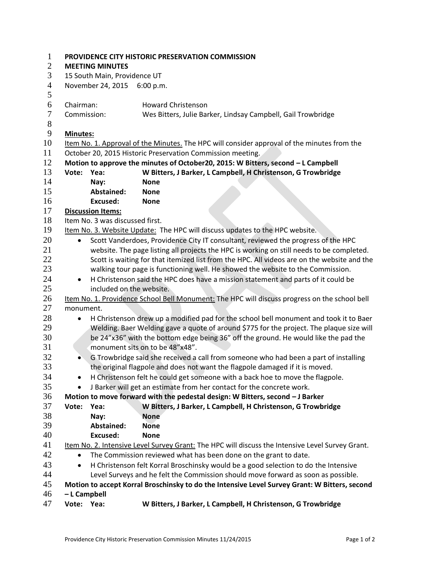| $\mathbf{1}$     |                                                                                     | PROVIDENCE CITY HISTORIC PRESERVATION COMMISSION                                              |                                                                                                  |  |  |  |  |  |
|------------------|-------------------------------------------------------------------------------------|-----------------------------------------------------------------------------------------------|--------------------------------------------------------------------------------------------------|--|--|--|--|--|
| $\mathbf{2}$     |                                                                                     | <b>MEETING MINUTES</b>                                                                        |                                                                                                  |  |  |  |  |  |
| 3                |                                                                                     | 15 South Main, Providence UT                                                                  |                                                                                                  |  |  |  |  |  |
| $\overline{4}$   |                                                                                     | November 24, 2015 6:00 p.m.                                                                   |                                                                                                  |  |  |  |  |  |
| 5                |                                                                                     |                                                                                               |                                                                                                  |  |  |  |  |  |
| 6                | Chairman:                                                                           |                                                                                               | <b>Howard Christenson</b>                                                                        |  |  |  |  |  |
| $\boldsymbol{7}$ | Commission:                                                                         |                                                                                               | Wes Bitters, Julie Barker, Lindsay Campbell, Gail Trowbridge                                     |  |  |  |  |  |
| 8                |                                                                                     |                                                                                               |                                                                                                  |  |  |  |  |  |
| 9                | <b>Minutes:</b>                                                                     |                                                                                               |                                                                                                  |  |  |  |  |  |
| 10               |                                                                                     | Item No. 1. Approval of the Minutes. The HPC will consider approval of the minutes from the   |                                                                                                  |  |  |  |  |  |
| 11               |                                                                                     | October 20, 2015 Historic Preservation Commission meeting.                                    |                                                                                                  |  |  |  |  |  |
| 12               |                                                                                     | Motion to approve the minutes of October20, 2015: W Bitters, second - L Campbell              |                                                                                                  |  |  |  |  |  |
| 13               | Vote:                                                                               | Yea:                                                                                          | W Bitters, J Barker, L Campbell, H Christenson, G Trowbridge                                     |  |  |  |  |  |
| 14               |                                                                                     | Nay:                                                                                          | <b>None</b>                                                                                      |  |  |  |  |  |
| 15               |                                                                                     | <b>Abstained:</b>                                                                             | <b>None</b>                                                                                      |  |  |  |  |  |
| 16               |                                                                                     | <b>Excused:</b>                                                                               | <b>None</b>                                                                                      |  |  |  |  |  |
| 17               |                                                                                     | <b>Discussion Items:</b>                                                                      |                                                                                                  |  |  |  |  |  |
| 18               |                                                                                     | Item No. 3 was discussed first.                                                               |                                                                                                  |  |  |  |  |  |
| 19               |                                                                                     | Item No. 3. Website Update: The HPC will discuss updates to the HPC website.                  |                                                                                                  |  |  |  |  |  |
| 20               | $\bullet$                                                                           | Scott Vanderdoes, Providence City IT consultant, reviewed the progress of the HPC             |                                                                                                  |  |  |  |  |  |
| 21               |                                                                                     |                                                                                               | website. The page listing all projects the HPC is working on still needs to be completed.        |  |  |  |  |  |
| 22               |                                                                                     |                                                                                               | Scott is waiting for that itemized list from the HPC. All videos are on the website and the      |  |  |  |  |  |
| 23               |                                                                                     | walking tour page is functioning well. He showed the website to the Commission.               |                                                                                                  |  |  |  |  |  |
| 24               | $\bullet$                                                                           | H Christenson said the HPC does have a mission statement and parts of it could be             |                                                                                                  |  |  |  |  |  |
| 25               |                                                                                     | included on the website.                                                                      |                                                                                                  |  |  |  |  |  |
| 26               |                                                                                     | Item No. 1. Providence School Bell Monument: The HPC will discuss progress on the school bell |                                                                                                  |  |  |  |  |  |
| 27               |                                                                                     | monument.                                                                                     |                                                                                                  |  |  |  |  |  |
| 28               | $\bullet$                                                                           | H Christenson drew up a modified pad for the school bell monument and took it to Baer         |                                                                                                  |  |  |  |  |  |
| 29               |                                                                                     | Welding. Baer Welding gave a quote of around \$775 for the project. The plaque size will      |                                                                                                  |  |  |  |  |  |
| 30               | be 24"x36" with the bottom edge being 36" off the ground. He would like the pad the |                                                                                               |                                                                                                  |  |  |  |  |  |
| 31               |                                                                                     |                                                                                               | monument sits on to be 48"x48".                                                                  |  |  |  |  |  |
| 32               | $\bullet$                                                                           |                                                                                               | G Trowbridge said she received a call from someone who had been a part of installing             |  |  |  |  |  |
| 33               |                                                                                     | the original flagpole and does not want the flagpole damaged if it is moved.                  |                                                                                                  |  |  |  |  |  |
| 34               |                                                                                     | H Christenson felt he could get someone with a back hoe to move the flagpole.                 |                                                                                                  |  |  |  |  |  |
| 35               | $\bullet$                                                                           | J Barker will get an estimate from her contact for the concrete work.                         |                                                                                                  |  |  |  |  |  |
| 36               |                                                                                     |                                                                                               | Motion to move forward with the pedestal design: W Bitters, second - J Barker                    |  |  |  |  |  |
| 37               | Vote:                                                                               | Yea:                                                                                          | W Bitters, J Barker, L Campbell, H Christenson, G Trowbridge                                     |  |  |  |  |  |
| 38               |                                                                                     | Nay:                                                                                          | <b>None</b>                                                                                      |  |  |  |  |  |
| 39               |                                                                                     | <b>Abstained:</b>                                                                             | <b>None</b>                                                                                      |  |  |  |  |  |
| 40               |                                                                                     | <b>Excused:</b>                                                                               | <b>None</b>                                                                                      |  |  |  |  |  |
| 41               |                                                                                     |                                                                                               | Item No. 2. Intensive Level Survey Grant: The HPC will discuss the Intensive Level Survey Grant. |  |  |  |  |  |
| 42               | $\bullet$                                                                           | The Commission reviewed what has been done on the grant to date.                              |                                                                                                  |  |  |  |  |  |
| 43               | $\bullet$                                                                           | H Christenson felt Korral Broschinsky would be a good selection to do the Intensive           |                                                                                                  |  |  |  |  |  |
| 44               |                                                                                     | Level Surveys and he felt the Commission should move forward as soon as possible.             |                                                                                                  |  |  |  |  |  |
| 45               |                                                                                     | Motion to accept Korral Broschinsky to do the Intensive Level Survey Grant: W Bitters, second |                                                                                                  |  |  |  |  |  |
| 46               | - L Campbell                                                                        |                                                                                               |                                                                                                  |  |  |  |  |  |
| 47               | Vote: Yea:                                                                          |                                                                                               | W Bitters, J Barker, L Campbell, H Christenson, G Trowbridge                                     |  |  |  |  |  |